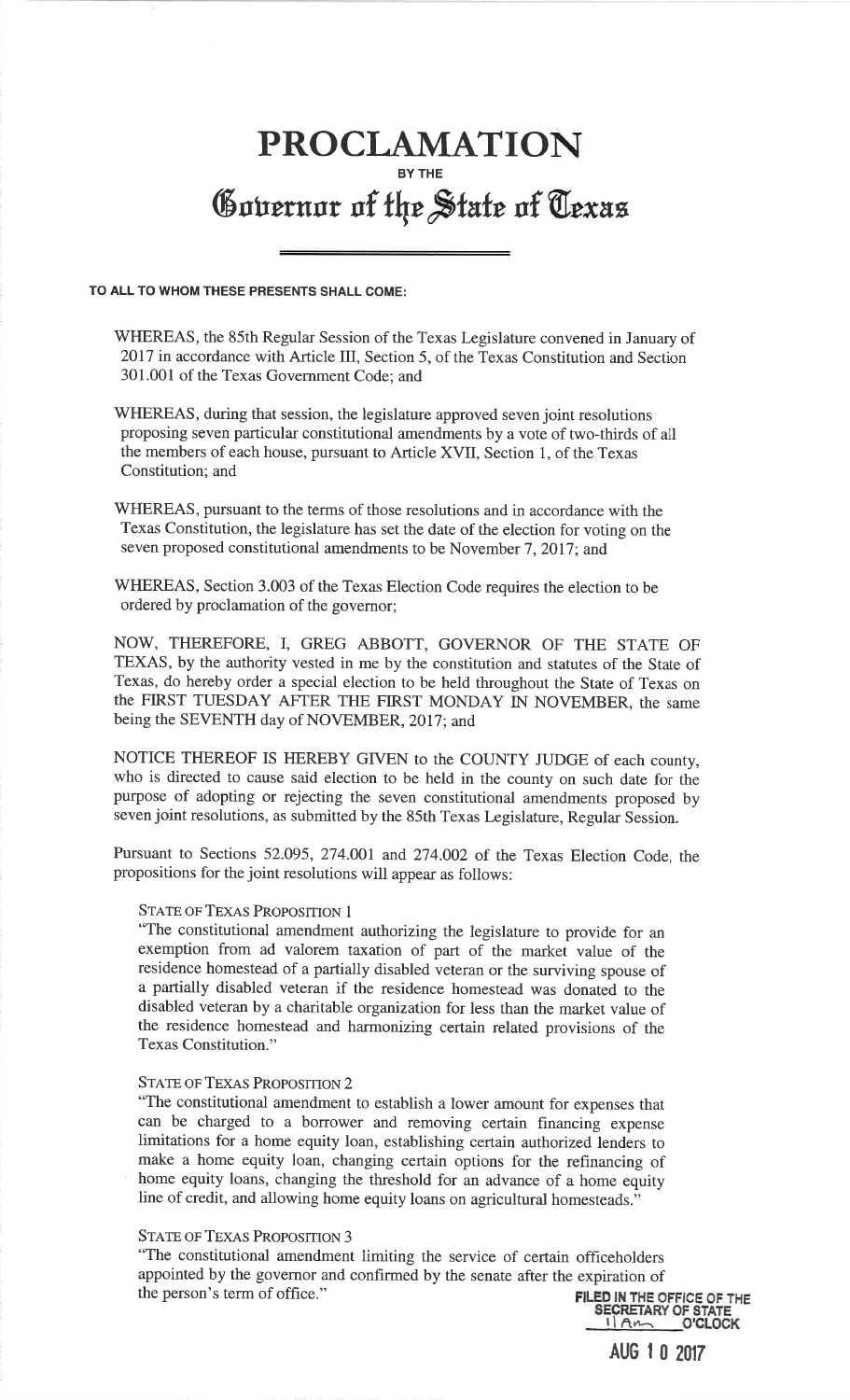# **PROCLAMATION BY THE** Governor of the State of Texas

### **TO ALL TO WHOM THESE PRESENTS SHALL COME:**

WHEREAS, the 85th Regular Session of the Texas Legislature convened in January of 2017 in accordance with Article III, Section 5, of the Texas Constitution and Section 301.001 of the Texas Government Code; and

WHEREAS, during that session, the legislature approved seven joint resolutions proposing seven particular constitutional amendments by a vote of two-thirds of all the members of each house, pursuant to Article XVII, Section 1, of the Texas Constitution; and

WHEREAS, pursuant to the terms of those resolutions and in accordance with the Texas Constitution, the legislature has set the date of the election for voting on the seven proposed constitutional amendments to be November 7, 2017; and

WHEREAS, Section 3.003 of the Texas Election Code requires the election to be ordered by proclamation of the governor;

NOW, THEREFORE, I, GREG ABBOTT, GOVERNOR OF THE STATE OF TEXAS, by the authority vested in me by the constitution and statutes of the State of Texas, do hereby order a special election to be held throughout the State of Texas on the FIRST TUESDAY AFTER THE FIRST MONDAY IN NOVEMBER, the same being the SEVENTH day of NOVEMBER, 2017; and

NOTICE THEREOF IS HEREBY GIVEN to the COUNTY JUDGE of each county, who is directed to cause said election to be held in the county on such date for the purpose of adopting or rejecting the seven constitutional amendments proposed by seven joint resolutions, as submitted by the 85th Texas Legislature, Regular Session.

Pursuant to Sections 52.095, 274.001 and 274.002 of the Texas Election Code, the propositions for the joint resolutions will appear as follows:

# STATE OF TEXAS PROPOSITION 1

 "The constitutional amendment authorizing the legislature to provide for an exemption from ad valorem taxation of part of the market value of the residence homestead of a partially disabled veteran or the surviving spouse of a partially disabled veteran if the residence homestead was donated to the disabled veteran by a charitable organization for less than the market value of the residence homestead and harmonizing certain related provisions of the Texas Constitution."

## STATE OF TEXAS PROPOSITION 2

"The constitutional amendment to establish a lower amount for expenses that can be charged to a borrower and removing certain financing expense limitations for a home equity loan, establishing certain authorized lenders to make a home equity loan, changing certain options for the refinancing of home equity loans, changing the threshold for an advance of a home equity line of credit, and allowing home equity loans on agricultural homesteads."

## STATE OF TEXAS PROPOSITION 3

"The constitutional amendment limiting the service of certain officeholders appointed by the governor and confirmed by the senate after the expiration of the person's term of office." the person's term of office." **FILED IN THE OFFICE OF THE** 

 $1\,$  A $\,$ **SECRETARY OF STATE O'CLOCK** 

**AUG 1 0 2017**